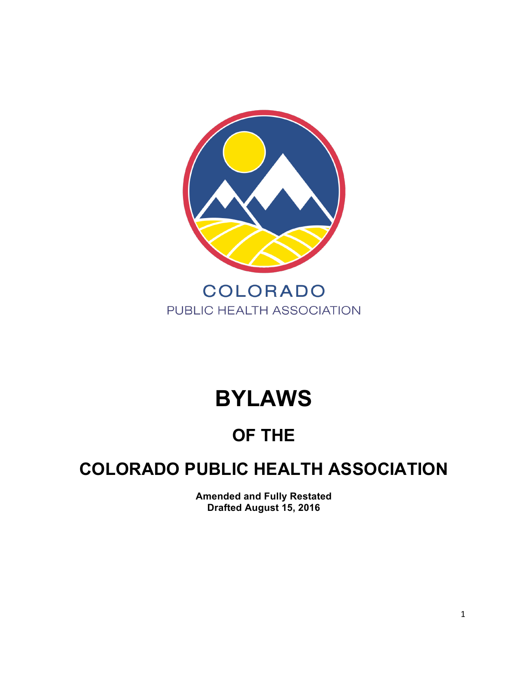

# **BYLAWS**

# **OF THE**

## **COLORADO PUBLIC HEALTH ASSOCIATION**

**Amended and Fully Restated Drafted August 15, 2016**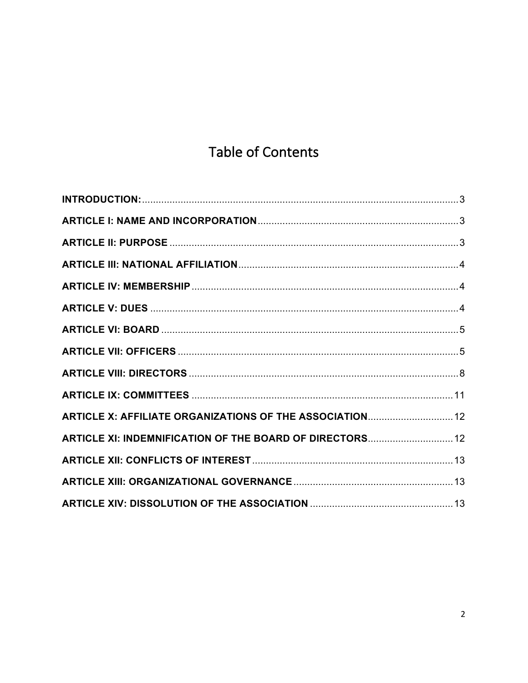### **Table of Contents**

| ARTICLE X: AFFILIATE ORGANIZATIONS OF THE ASSOCIATION 12 |  |
|----------------------------------------------------------|--|
| ARTICLE XI: INDEMNIFICATION OF THE BOARD OF DIRECTORS 12 |  |
|                                                          |  |
|                                                          |  |
|                                                          |  |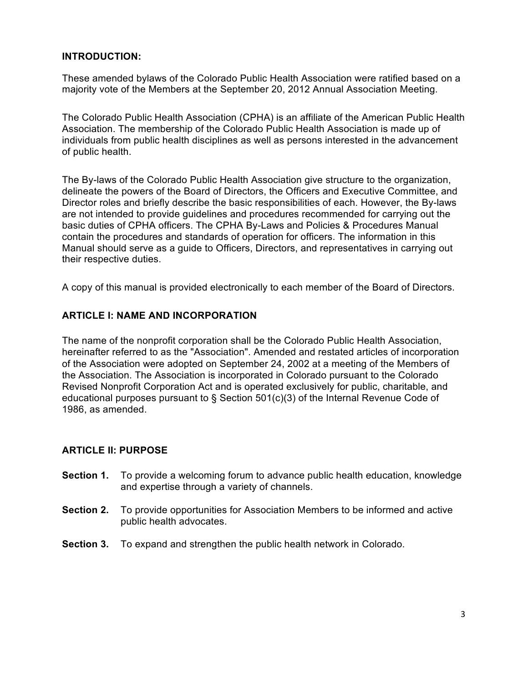#### **INTRODUCTION:**

These amended bylaws of the Colorado Public Health Association were ratified based on a majority vote of the Members at the September 20, 2012 Annual Association Meeting.

The Colorado Public Health Association (CPHA) is an affiliate of the American Public Health Association. The membership of the Colorado Public Health Association is made up of individuals from public health disciplines as well as persons interested in the advancement of public health.

The By-laws of the Colorado Public Health Association give structure to the organization, delineate the powers of the Board of Directors, the Officers and Executive Committee, and Director roles and briefly describe the basic responsibilities of each. However, the By-laws are not intended to provide guidelines and procedures recommended for carrying out the basic duties of CPHA officers. The CPHA By-Laws and Policies & Procedures Manual contain the procedures and standards of operation for officers. The information in this Manual should serve as a guide to Officers, Directors, and representatives in carrying out their respective duties.

A copy of this manual is provided electronically to each member of the Board of Directors.

#### **ARTICLE I: NAME AND INCORPORATION**

The name of the nonprofit corporation shall be the Colorado Public Health Association, hereinafter referred to as the "Association". Amended and restated articles of incorporation of the Association were adopted on September 24, 2002 at a meeting of the Members of the Association. The Association is incorporated in Colorado pursuant to the Colorado Revised Nonprofit Corporation Act and is operated exclusively for public, charitable, and educational purposes pursuant to § Section 501(c)(3) of the Internal Revenue Code of 1986, as amended.

#### **ARTICLE II: PURPOSE**

- **Section 1.** To provide a welcoming forum to advance public health education, knowledge and expertise through a variety of channels.
- **Section 2.** To provide opportunities for Association Members to be informed and active public health advocates.
- **Section 3.** To expand and strengthen the public health network in Colorado.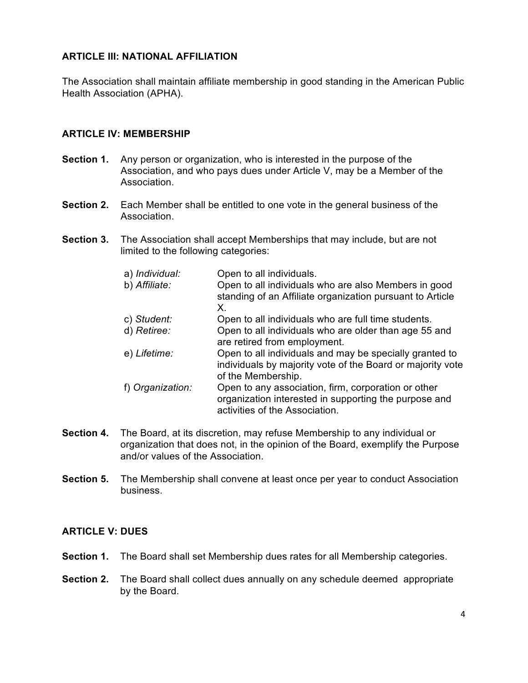#### **ARTICLE III: NATIONAL AFFILIATION**

The Association shall maintain affiliate membership in good standing in the American Public Health Association (APHA).

#### **ARTICLE IV: MEMBERSHIP**

- **Section 1.** Any person or organization, who is interested in the purpose of the Association, and who pays dues under Article V, may be a Member of the Association.
- **Section 2.** Each Member shall be entitled to one vote in the general business of the Association.
- **Section 3.** The Association shall accept Memberships that may include, but are not limited to the following categories:

| a) <i>Individual:</i><br>b) Affiliate: | Open to all individuals.<br>Open to all individuals who are also Members in good<br>standing of an Affiliate organization pursuant to Article<br>Х. |
|----------------------------------------|-----------------------------------------------------------------------------------------------------------------------------------------------------|
| c) Student:                            | Open to all individuals who are full time students.                                                                                                 |
| d) Retiree:                            | Open to all individuals who are older than age 55 and<br>are retired from employment.                                                               |
| e) Lifetime:                           | Open to all individuals and may be specially granted to<br>individuals by majority vote of the Board or majority vote<br>of the Membership.         |
| f) Organization:                       | Open to any association, firm, corporation or other<br>organization interested in supporting the purpose and<br>activities of the Association.      |

- **Section 4.** The Board, at its discretion, may refuse Membership to any individual or organization that does not, in the opinion of the Board, exemplify the Purpose and/or values of the Association.
- **Section 5.** The Membership shall convene at least once per year to conduct Association business.

#### **ARTICLE V: DUES**

- **Section 1.** The Board shall set Membership dues rates for all Membership categories.
- **Section 2.** The Board shall collect dues annually on any schedule deemed appropriate by the Board.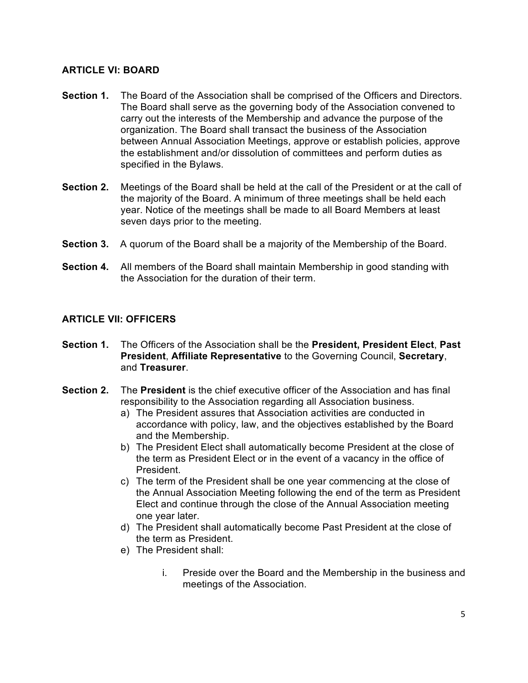#### **ARTICLE VI: BOARD**

- **Section 1.** The Board of the Association shall be comprised of the Officers and Directors. The Board shall serve as the governing body of the Association convened to carry out the interests of the Membership and advance the purpose of the organization. The Board shall transact the business of the Association between Annual Association Meetings, approve or establish policies, approve the establishment and/or dissolution of committees and perform duties as specified in the Bylaws.
- **Section 2.** Meetings of the Board shall be held at the call of the President or at the call of the majority of the Board. A minimum of three meetings shall be held each year. Notice of the meetings shall be made to all Board Members at least seven days prior to the meeting.
- **Section 3.** A quorum of the Board shall be a majority of the Membership of the Board.
- **Section 4.** All members of the Board shall maintain Membership in good standing with the Association for the duration of their term.

#### **ARTICLE VII: OFFICERS**

- **Section 1.** The Officers of the Association shall be the **President, President Elect**, **Past President**, **Affiliate Representative** to the Governing Council, **Secretary**, and **Treasurer**.
- **Section 2.** The **President** is the chief executive officer of the Association and has final responsibility to the Association regarding all Association business.
	- a) The President assures that Association activities are conducted in accordance with policy, law, and the objectives established by the Board and the Membership.
	- b) The President Elect shall automatically become President at the close of the term as President Elect or in the event of a vacancy in the office of President.
	- c) The term of the President shall be one year commencing at the close of the Annual Association Meeting following the end of the term as President Elect and continue through the close of the Annual Association meeting one year later.
	- d) The President shall automatically become Past President at the close of the term as President.
	- e) The President shall:
		- i. Preside over the Board and the Membership in the business and meetings of the Association.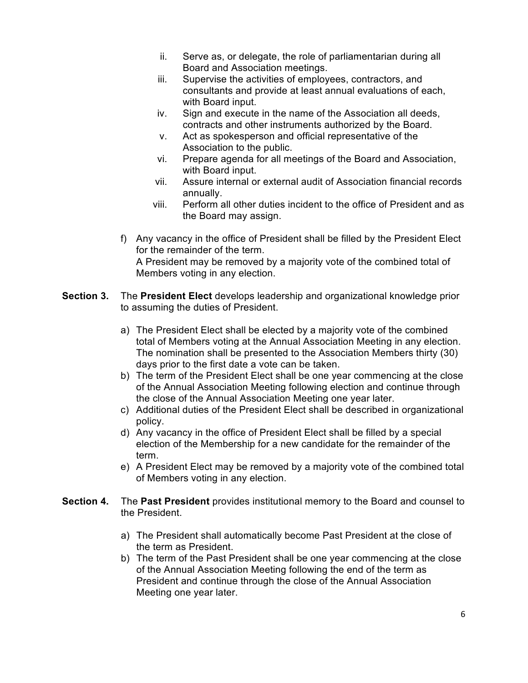- ii. Serve as, or delegate, the role of parliamentarian during all Board and Association meetings.
- iii. Supervise the activities of employees, contractors, and consultants and provide at least annual evaluations of each, with Board input.
- iv. Sign and execute in the name of the Association all deeds, contracts and other instruments authorized by the Board.
- v. Act as spokesperson and official representative of the Association to the public.
- vi. Prepare agenda for all meetings of the Board and Association, with Board input.
- vii. Assure internal or external audit of Association financial records annually.
- viii. Perform all other duties incident to the office of President and as the Board may assign.
- f) Any vacancy in the office of President shall be filled by the President Elect for the remainder of the term. A President may be removed by a majority vote of the combined total of Members voting in any election.
- **Section 3.** The **President Elect** develops leadership and organizational knowledge prior to assuming the duties of President.
	- a) The President Elect shall be elected by a majority vote of the combined total of Members voting at the Annual Association Meeting in any election. The nomination shall be presented to the Association Members thirty (30) days prior to the first date a vote can be taken.
	- b) The term of the President Elect shall be one year commencing at the close of the Annual Association Meeting following election and continue through the close of the Annual Association Meeting one year later.
	- c) Additional duties of the President Elect shall be described in organizational policy.
	- d) Any vacancy in the office of President Elect shall be filled by a special election of the Membership for a new candidate for the remainder of the term.
	- e) A President Elect may be removed by a majority vote of the combined total of Members voting in any election.
- **Section 4.** The **Past President** provides institutional memory to the Board and counsel to the President.
	- a) The President shall automatically become Past President at the close of the term as President.
	- b) The term of the Past President shall be one year commencing at the close of the Annual Association Meeting following the end of the term as President and continue through the close of the Annual Association Meeting one year later.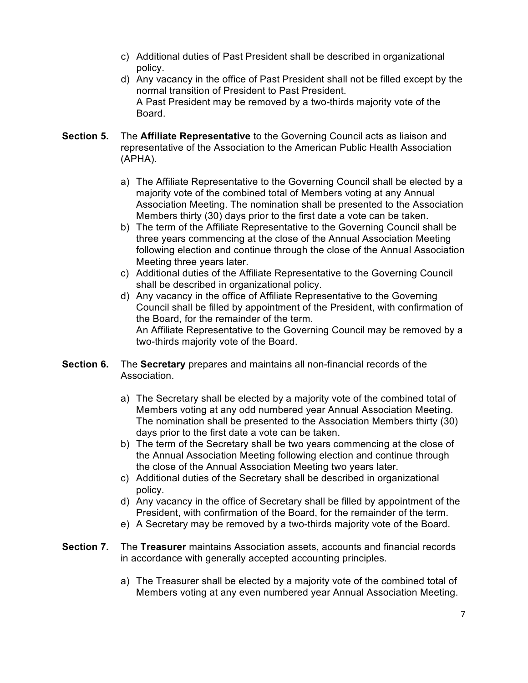- c) Additional duties of Past President shall be described in organizational policy.
- d) Any vacancy in the office of Past President shall not be filled except by the normal transition of President to Past President. A Past President may be removed by a two-thirds majority vote of the Board.
- **Section 5.** The **Affiliate Representative** to the Governing Council acts as liaison and representative of the Association to the American Public Health Association (APHA).
	- a) The Affiliate Representative to the Governing Council shall be elected by a majority vote of the combined total of Members voting at any Annual Association Meeting. The nomination shall be presented to the Association Members thirty (30) days prior to the first date a vote can be taken.
	- b) The term of the Affiliate Representative to the Governing Council shall be three years commencing at the close of the Annual Association Meeting following election and continue through the close of the Annual Association Meeting three years later.
	- c) Additional duties of the Affiliate Representative to the Governing Council shall be described in organizational policy.
	- d) Any vacancy in the office of Affiliate Representative to the Governing Council shall be filled by appointment of the President, with confirmation of the Board, for the remainder of the term. An Affiliate Representative to the Governing Council may be removed by a two-thirds majority vote of the Board.
- **Section 6.** The **Secretary** prepares and maintains all non-financial records of the Association.
	- a) The Secretary shall be elected by a majority vote of the combined total of Members voting at any odd numbered year Annual Association Meeting. The nomination shall be presented to the Association Members thirty (30) days prior to the first date a vote can be taken.
	- b) The term of the Secretary shall be two years commencing at the close of the Annual Association Meeting following election and continue through the close of the Annual Association Meeting two years later.
	- c) Additional duties of the Secretary shall be described in organizational policy.
	- d) Any vacancy in the office of Secretary shall be filled by appointment of the President, with confirmation of the Board, for the remainder of the term.
	- e) A Secretary may be removed by a two-thirds majority vote of the Board.
- **Section 7.** The **Treasurer** maintains Association assets, accounts and financial records in accordance with generally accepted accounting principles.
	- a) The Treasurer shall be elected by a majority vote of the combined total of Members voting at any even numbered year Annual Association Meeting.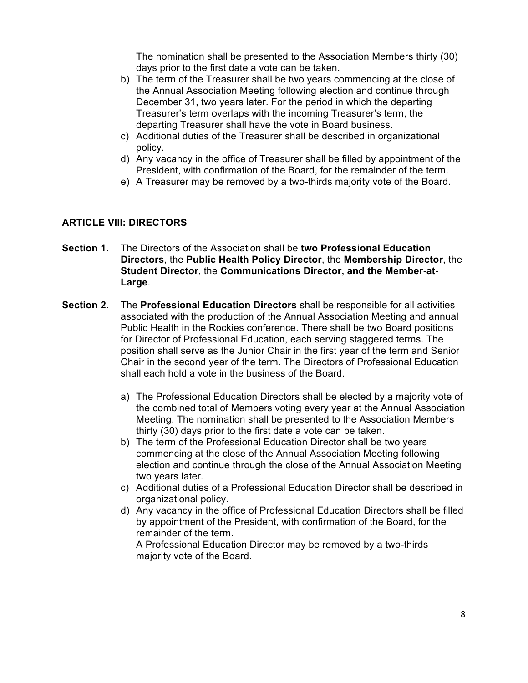The nomination shall be presented to the Association Members thirty (30) days prior to the first date a vote can be taken.

- b) The term of the Treasurer shall be two years commencing at the close of the Annual Association Meeting following election and continue through December 31, two years later. For the period in which the departing Treasurer's term overlaps with the incoming Treasurer's term, the departing Treasurer shall have the vote in Board business.
- c) Additional duties of the Treasurer shall be described in organizational policy.
- d) Any vacancy in the office of Treasurer shall be filled by appointment of the President, with confirmation of the Board, for the remainder of the term.
- e) A Treasurer may be removed by a two-thirds majority vote of the Board.

#### **ARTICLE VIII: DIRECTORS**

- **Section 1.** The Directors of the Association shall be **two Professional Education Directors**, the **Public Health Policy Director**, the **Membership Director**, the **Student Director**, the **Communications Director, and the Member-at-Large**.
- **Section 2.** The **Professional Education Directors** shall be responsible for all activities associated with the production of the Annual Association Meeting and annual Public Health in the Rockies conference. There shall be two Board positions for Director of Professional Education, each serving staggered terms. The position shall serve as the Junior Chair in the first year of the term and Senior Chair in the second year of the term. The Directors of Professional Education shall each hold a vote in the business of the Board.
	- a) The Professional Education Directors shall be elected by a majority vote of the combined total of Members voting every year at the Annual Association Meeting. The nomination shall be presented to the Association Members thirty (30) days prior to the first date a vote can be taken.
	- b) The term of the Professional Education Director shall be two years commencing at the close of the Annual Association Meeting following election and continue through the close of the Annual Association Meeting two years later.
	- c) Additional duties of a Professional Education Director shall be described in organizational policy.
	- d) Any vacancy in the office of Professional Education Directors shall be filled by appointment of the President, with confirmation of the Board, for the remainder of the term.

A Professional Education Director may be removed by a two-thirds majority vote of the Board.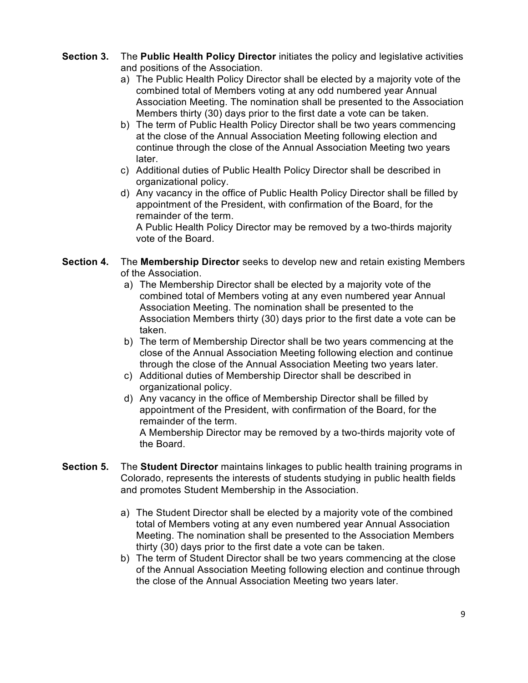#### **Section 3.** The **Public Health Policy Director** initiates the policy and legislative activities and positions of the Association.

- a) The Public Health Policy Director shall be elected by a majority vote of the combined total of Members voting at any odd numbered year Annual Association Meeting. The nomination shall be presented to the Association Members thirty (30) days prior to the first date a vote can be taken.
- b) The term of Public Health Policy Director shall be two years commencing at the close of the Annual Association Meeting following election and continue through the close of the Annual Association Meeting two years later.
- c) Additional duties of Public Health Policy Director shall be described in organizational policy.
- d) Any vacancy in the office of Public Health Policy Director shall be filled by appointment of the President, with confirmation of the Board, for the remainder of the term.

A Public Health Policy Director may be removed by a two-thirds majority vote of the Board.

#### **Section 4.** The **Membership Director** seeks to develop new and retain existing Members of the Association.

- a) The Membership Director shall be elected by a majority vote of the combined total of Members voting at any even numbered year Annual Association Meeting. The nomination shall be presented to the Association Members thirty (30) days prior to the first date a vote can be taken.
- b) The term of Membership Director shall be two years commencing at the close of the Annual Association Meeting following election and continue through the close of the Annual Association Meeting two years later.
- c) Additional duties of Membership Director shall be described in organizational policy.
- d) Any vacancy in the office of Membership Director shall be filled by appointment of the President, with confirmation of the Board, for the remainder of the term. A Membership Director may be removed by a two-thirds majority vote of the Board.
- **Section 5.** The **Student Director** maintains linkages to public health training programs in Colorado, represents the interests of students studying in public health fields and promotes Student Membership in the Association.
	- a) The Student Director shall be elected by a majority vote of the combined total of Members voting at any even numbered year Annual Association Meeting. The nomination shall be presented to the Association Members thirty (30) days prior to the first date a vote can be taken.
	- b) The term of Student Director shall be two years commencing at the close of the Annual Association Meeting following election and continue through the close of the Annual Association Meeting two years later.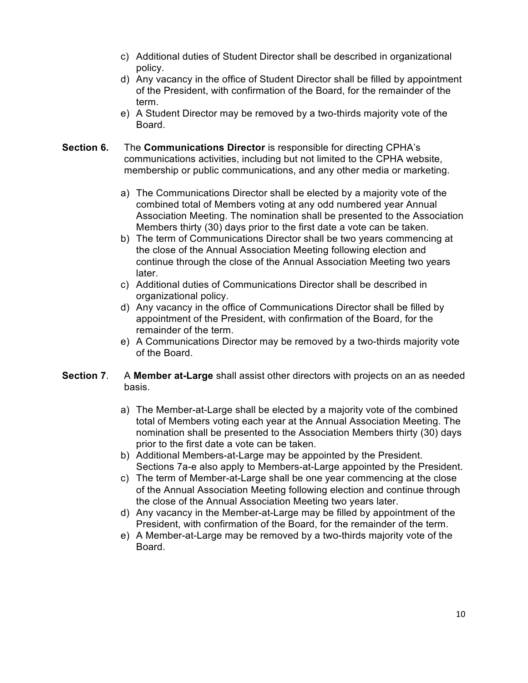- c) Additional duties of Student Director shall be described in organizational policy.
- d) Any vacancy in the office of Student Director shall be filled by appointment of the President, with confirmation of the Board, for the remainder of the term.
- e) A Student Director may be removed by a two-thirds majority vote of the Board.
- **Section 6.** The **Communications Director** is responsible for directing CPHA's communications activities, including but not limited to the CPHA website, membership or public communications, and any other media or marketing.
	- a) The Communications Director shall be elected by a majority vote of the combined total of Members voting at any odd numbered year Annual Association Meeting. The nomination shall be presented to the Association Members thirty (30) days prior to the first date a vote can be taken.
	- b) The term of Communications Director shall be two years commencing at the close of the Annual Association Meeting following election and continue through the close of the Annual Association Meeting two years later.
	- c) Additional duties of Communications Director shall be described in organizational policy.
	- d) Any vacancy in the office of Communications Director shall be filled by appointment of the President, with confirmation of the Board, for the remainder of the term.
	- e) A Communications Director may be removed by a two-thirds majority vote of the Board.
- **Section 7**. A **Member at-Large** shall assist other directors with projects on an as needed basis.
	- a) The Member-at-Large shall be elected by a majority vote of the combined total of Members voting each year at the Annual Association Meeting. The nomination shall be presented to the Association Members thirty (30) days prior to the first date a vote can be taken.
	- b) Additional Members-at-Large may be appointed by the President. Sections 7a-e also apply to Members-at-Large appointed by the President.
	- c) The term of Member-at-Large shall be one year commencing at the close of the Annual Association Meeting following election and continue through the close of the Annual Association Meeting two years later.
	- d) Any vacancy in the Member-at-Large may be filled by appointment of the President, with confirmation of the Board, for the remainder of the term.
	- e) A Member-at-Large may be removed by a two-thirds majority vote of the Board.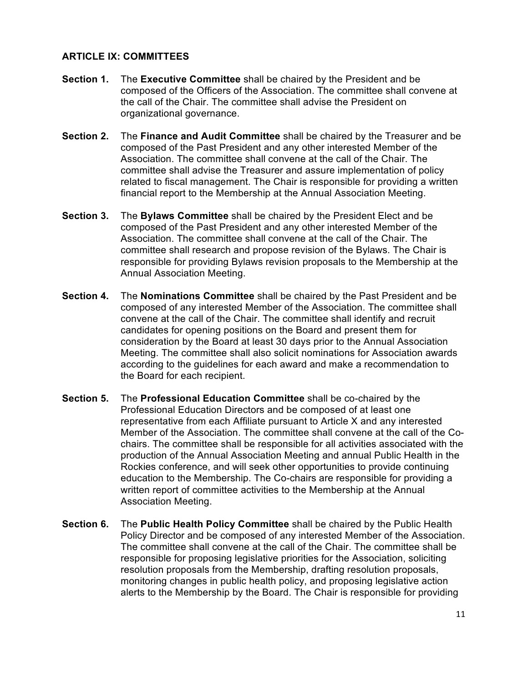#### **ARTICLE IX: COMMITTEES**

- **Section 1.** The **Executive Committee** shall be chaired by the President and be composed of the Officers of the Association. The committee shall convene at the call of the Chair. The committee shall advise the President on organizational governance.
- **Section 2.** The **Finance and Audit Committee** shall be chaired by the Treasurer and be composed of the Past President and any other interested Member of the Association. The committee shall convene at the call of the Chair. The committee shall advise the Treasurer and assure implementation of policy related to fiscal management. The Chair is responsible for providing a written financial report to the Membership at the Annual Association Meeting.
- **Section 3.** The **Bylaws Committee** shall be chaired by the President Elect and be composed of the Past President and any other interested Member of the Association. The committee shall convene at the call of the Chair. The committee shall research and propose revision of the Bylaws. The Chair is responsible for providing Bylaws revision proposals to the Membership at the Annual Association Meeting.
- **Section 4.** The **Nominations Committee** shall be chaired by the Past President and be composed of any interested Member of the Association. The committee shall convene at the call of the Chair. The committee shall identify and recruit candidates for opening positions on the Board and present them for consideration by the Board at least 30 days prior to the Annual Association Meeting. The committee shall also solicit nominations for Association awards according to the guidelines for each award and make a recommendation to the Board for each recipient.
- **Section 5.** The **Professional Education Committee** shall be co-chaired by the Professional Education Directors and be composed of at least one representative from each Affiliate pursuant to Article X and any interested Member of the Association. The committee shall convene at the call of the Cochairs. The committee shall be responsible for all activities associated with the production of the Annual Association Meeting and annual Public Health in the Rockies conference, and will seek other opportunities to provide continuing education to the Membership. The Co-chairs are responsible for providing a written report of committee activities to the Membership at the Annual Association Meeting.
- **Section 6.** The **Public Health Policy Committee** shall be chaired by the Public Health Policy Director and be composed of any interested Member of the Association. The committee shall convene at the call of the Chair. The committee shall be responsible for proposing legislative priorities for the Association, soliciting resolution proposals from the Membership, drafting resolution proposals, monitoring changes in public health policy, and proposing legislative action alerts to the Membership by the Board. The Chair is responsible for providing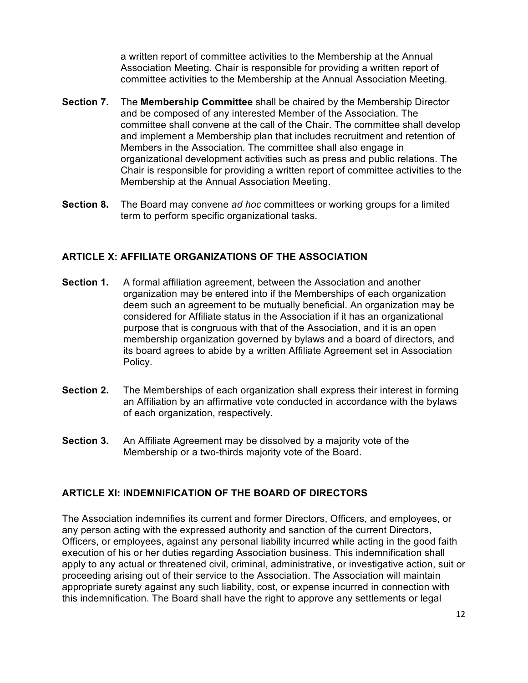a written report of committee activities to the Membership at the Annual Association Meeting. Chair is responsible for providing a written report of committee activities to the Membership at the Annual Association Meeting.

- **Section 7.** The **Membership Committee** shall be chaired by the Membership Director and be composed of any interested Member of the Association. The committee shall convene at the call of the Chair. The committee shall develop and implement a Membership plan that includes recruitment and retention of Members in the Association. The committee shall also engage in organizational development activities such as press and public relations. The Chair is responsible for providing a written report of committee activities to the Membership at the Annual Association Meeting.
- **Section 8.** The Board may convene *ad hoc* committees or working groups for a limited term to perform specific organizational tasks.

#### **ARTICLE X: AFFILIATE ORGANIZATIONS OF THE ASSOCIATION**

- **Section 1.** A formal affiliation agreement, between the Association and another organization may be entered into if the Memberships of each organization deem such an agreement to be mutually beneficial. An organization may be considered for Affiliate status in the Association if it has an organizational purpose that is congruous with that of the Association, and it is an open membership organization governed by bylaws and a board of directors, and its board agrees to abide by a written Affiliate Agreement set in Association Policy.
- **Section 2.** The Memberships of each organization shall express their interest in forming an Affiliation by an affirmative vote conducted in accordance with the bylaws of each organization, respectively.
- **Section 3.** An Affiliate Agreement may be dissolved by a majority vote of the Membership or a two-thirds majority vote of the Board.

#### **ARTICLE XI: INDEMNIFICATION OF THE BOARD OF DIRECTORS**

The Association indemnifies its current and former Directors, Officers, and employees, or any person acting with the expressed authority and sanction of the current Directors, Officers, or employees, against any personal liability incurred while acting in the good faith execution of his or her duties regarding Association business. This indemnification shall apply to any actual or threatened civil, criminal, administrative, or investigative action, suit or proceeding arising out of their service to the Association. The Association will maintain appropriate surety against any such liability, cost, or expense incurred in connection with this indemnification. The Board shall have the right to approve any settlements or legal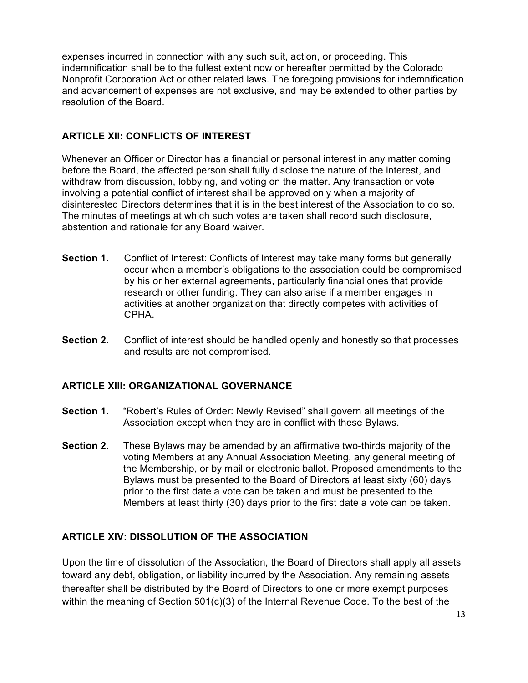expenses incurred in connection with any such suit, action, or proceeding. This indemnification shall be to the fullest extent now or hereafter permitted by the Colorado Nonprofit Corporation Act or other related laws. The foregoing provisions for indemnification and advancement of expenses are not exclusive, and may be extended to other parties by resolution of the Board.

#### **ARTICLE XII: CONFLICTS OF INTEREST**

Whenever an Officer or Director has a financial or personal interest in any matter coming before the Board, the affected person shall fully disclose the nature of the interest, and withdraw from discussion, lobbying, and voting on the matter. Any transaction or vote involving a potential conflict of interest shall be approved only when a majority of disinterested Directors determines that it is in the best interest of the Association to do so. The minutes of meetings at which such votes are taken shall record such disclosure, abstention and rationale for any Board waiver.

- **Section 1.** Conflict of Interest: Conflicts of Interest may take many forms but generally occur when a member's obligations to the association could be compromised by his or her external agreements, particularly financial ones that provide research or other funding. They can also arise if a member engages in activities at another organization that directly competes with activities of CPHA.
- **Section 2.** Conflict of interest should be handled openly and honestly so that processes and results are not compromised.

#### **ARTICLE XIII: ORGANIZATIONAL GOVERNANCE**

- **Section 1.** "Robert's Rules of Order: Newly Revised" shall govern all meetings of the Association except when they are in conflict with these Bylaws.
- **Section 2.** These Bylaws may be amended by an affirmative two-thirds majority of the voting Members at any Annual Association Meeting, any general meeting of the Membership, or by mail or electronic ballot. Proposed amendments to the Bylaws must be presented to the Board of Directors at least sixty (60) days prior to the first date a vote can be taken and must be presented to the Members at least thirty (30) days prior to the first date a vote can be taken.

#### **ARTICLE XIV: DISSOLUTION OF THE ASSOCIATION**

Upon the time of dissolution of the Association, the Board of Directors shall apply all assets toward any debt, obligation, or liability incurred by the Association. Any remaining assets thereafter shall be distributed by the Board of Directors to one or more exempt purposes within the meaning of Section 501(c)(3) of the Internal Revenue Code. To the best of the